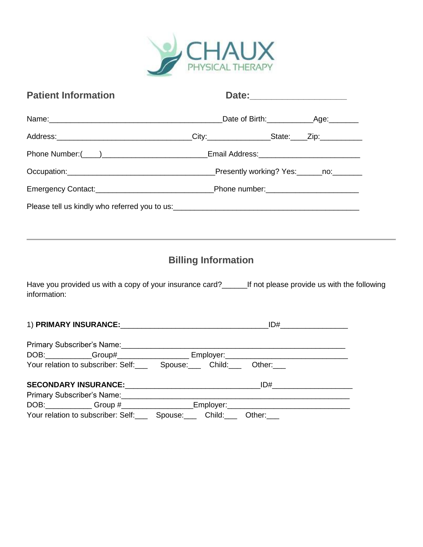

| <b>Patient Information</b>                                                                           |                            |                                                               |  |
|------------------------------------------------------------------------------------------------------|----------------------------|---------------------------------------------------------------|--|
|                                                                                                      |                            |                                                               |  |
|                                                                                                      |                            |                                                               |  |
|                                                                                                      |                            |                                                               |  |
|                                                                                                      |                            |                                                               |  |
|                                                                                                      |                            |                                                               |  |
|                                                                                                      |                            |                                                               |  |
| Have you provided us with a copy of your insurance card? If not please provide us with the following | <b>Billing Information</b> |                                                               |  |
| information:                                                                                         |                            |                                                               |  |
| Primary Subscriber's Name:<br><u> </u>                                                               |                            |                                                               |  |
|                                                                                                      |                            |                                                               |  |
| Your relation to subscriber: Self: Spouse: Child: Other:                                             |                            |                                                               |  |
|                                                                                                      |                            |                                                               |  |
| Primary Subscriber's Name:                                                                           |                            | <u> 1980 - Johann John Stone, margaret amerikan (h. 1980)</u> |  |
|                                                                                                      |                            |                                                               |  |

Your relation to subscriber: Self:\_\_\_ Spouse:\_\_\_ Child:\_\_\_ Other:\_\_\_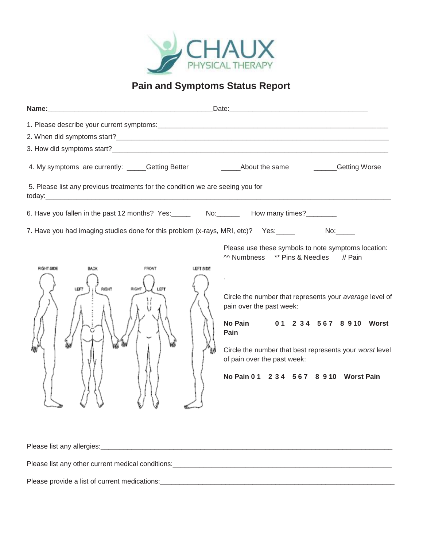

# **Pain and Symptoms Status Report**

|                                                                                          | 4. My symptoms are currently: _____Getting Better ___________________About the same _________Getting Worse                                                                                                                                                                                                                                                                                             |  |  |
|------------------------------------------------------------------------------------------|--------------------------------------------------------------------------------------------------------------------------------------------------------------------------------------------------------------------------------------------------------------------------------------------------------------------------------------------------------------------------------------------------------|--|--|
| 5. Please list any previous treatments for the condition we are seeing you for           |                                                                                                                                                                                                                                                                                                                                                                                                        |  |  |
| 6. Have you fallen in the past 12 months? Yes: ______ No: ______ How many times? _______ |                                                                                                                                                                                                                                                                                                                                                                                                        |  |  |
| 7. Have you had imaging studies done for this problem (x-rays, MRI, etc)?  Yes:_____     |                                                                                                                                                                                                                                                                                                                                                                                                        |  |  |
| FRONT<br><b>FIGHT SIDE</b><br>BACK<br><b>RIGHT</b><br><b>LEFT</b>                        | Please use these symbols to note symptoms location:<br>M Numbness ** Pins & Needles // Pain<br><b>LEFT SIDE</b><br>Circle the number that represents your average level of<br>pain over the past week:<br><b>No Pain</b><br>01 2 3 4 5 6 7 8 9 10 Worst<br>Pain<br>Circle the number that best represents your worst level<br>of pain over the past week:<br>No Pain 0 1 2 3 4 5 6 7 8 9 10 Worst Pain |  |  |
|                                                                                          |                                                                                                                                                                                                                                                                                                                                                                                                        |  |  |
|                                                                                          | Please list any other current medical conditions:<br>and the manufacture of the manufacture of the manufacture of the manufacture of the manufacture of the manufacture                                                                                                                                                                                                                                |  |  |
|                                                                                          |                                                                                                                                                                                                                                                                                                                                                                                                        |  |  |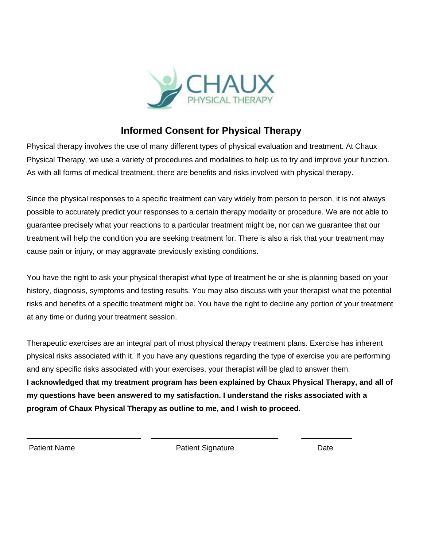

#### **Informed Consent for Physical Therapy**

Physical therapy involves the use of many different types of physical evaluation and treatment. At Chaux Physical Therapy, we use a variety of procedures and modalities to help us to try and improve your function. As with all forms of medical treatment, there are benefits and risks involved with physical therapy.

Since the physical responses to a specific treatment can vary widely from person to person, it is not always possible to accurately predict your responses to a certain therapy modality or procedure. We are not able to guarantee precisely what your reactions to a particular treatment might be, nor can we guarantee that our treatment will help the condition you are seeking treatment for. There is also a risk that your treatment may cause pain or injury, or may aggravate previously existing conditions.

You have the right to ask your physical therapist what type of treatment he or she is planning based on your history, diagnosis, symptoms and testing results. You may also discuss with your therapist what the potential risks and benefits of a specific treatment might be. You have the right to decline any portion of your treatment at any time or during your treatment session.

Therapeutic exercises are an integral part of most physical therapy treatment plans. Exercise has inherent physical risks associated with it. If you have any questions regarding the type of exercise you are performing and any specific risks associated with your exercises, your therapist will be glad to answer them. **I acknowledged that my treatment program has been explained by Chaux Physical Therapy, and all of my questions have been answered to my satisfaction. I understand the risks associated with a program of Chaux Physical Therapy as outline to me, and I wish to proceed.**

Patient Name **Patient Signature Patient Signature Patient Signature Date** 

\_\_\_\_\_\_\_\_\_\_\_\_\_\_\_\_\_\_\_\_\_\_\_\_\_\_\_ \_\_\_\_\_\_\_\_\_\_\_\_\_\_\_\_\_\_\_\_\_\_\_\_\_\_\_\_\_\_ \_\_\_\_\_\_\_\_\_\_\_\_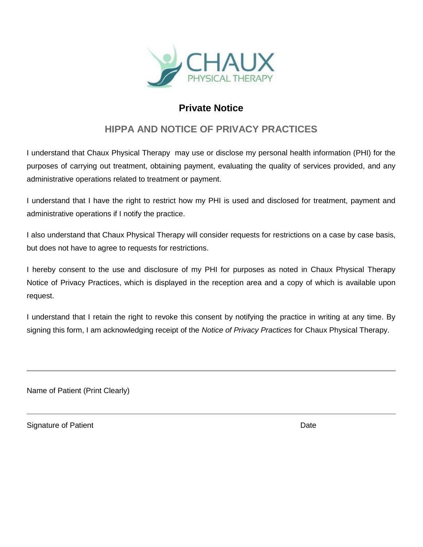

### **Private Notice**

## **HIPPA AND NOTICE OF PRIVACY PRACTICES**

I understand that Chaux Physical Therapy may use or disclose my personal health information (PHI) for the purposes of carrying out treatment, obtaining payment, evaluating the quality of services provided, and any administrative operations related to treatment or payment.

I understand that I have the right to restrict how my PHI is used and disclosed for treatment, payment and administrative operations if I notify the practice.

I also understand that Chaux Physical Therapy will consider requests for restrictions on a case by case basis, but does not have to agree to requests for restrictions.

I hereby consent to the use and disclosure of my PHI for purposes as noted in Chaux Physical Therapy Notice of Privacy Practices, which is displayed in the reception area and a copy of which is available upon request.

I understand that I retain the right to revoke this consent by notifying the practice in writing at any time. By signing this form, I am acknowledging receipt of the *Notice of Privacy Practices* for Chaux Physical Therapy.

Name of Patient (Print Clearly)

Signature of Patient **Date**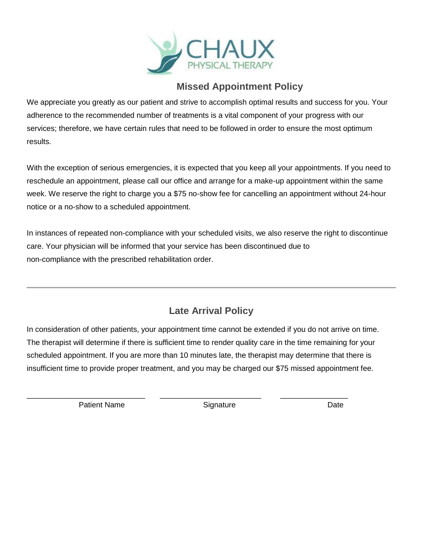

#### **Missed Appointment Policy**

We appreciate you greatly as our patient and strive to accomplish optimal results and success for you. Your adherence to the recommended number of treatments is a vital component of your progress with our services; therefore, we have certain rules that need to be followed in order to ensure the most optimum results.

With the exception of serious emergencies, it is expected that you keep all your appointments. If you need to reschedule an appointment, please call our office and arrange for a make-up appointment within the same week. We reserve the right to charge you a \$75 no-show fee for cancelling an appointment without 24-hour notice or a no-show to a scheduled appointment.

In instances of repeated non-compliance with your scheduled visits, we also reserve the right to discontinue care. Your physician will be informed that your service has been discontinued due to non-compliance with the prescribed rehabilitation order.

# **Late Arrival Policy**

In consideration of other patients, your appointment time cannot be extended if you do not arrive on time. The therapist will determine if there is sufficient time to render quality care in the time remaining for your scheduled appointment. If you are more than 10 minutes late, the therapist may determine that there is insufficient time to provide proper treatment, and you may be charged our \$75 missed appointment fee.

\_\_\_\_\_\_\_\_\_\_\_\_\_\_\_\_\_\_\_\_\_\_\_\_\_\_\_\_ \_\_\_\_\_\_\_\_\_\_\_\_\_\_\_\_\_\_\_\_\_\_\_\_ \_\_\_\_\_\_\_\_\_\_\_\_\_\_\_\_

Patient Name **Signature Constant Constant Constant Constant Constant Constant Constant Constant Constant Constant Constant Constant Constant Constant Constant Constant Constant Constant Constant Constant Constant Constan**